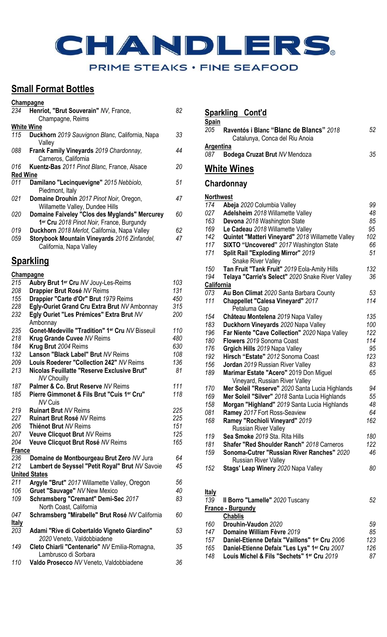# CHANDLERS. PRIME STEAKS . FINE SEAFOOD

### **Small Format Bottles**

|                 | Champagne                                       |     |
|-----------------|-------------------------------------------------|-----|
| 234             | Henriot, "Brut Souverain" NV, France,           | 82  |
|                 | Champagne, Reims                                |     |
|                 | <b>White Wine</b>                               |     |
| 115             | Duckhorn 2019 Sauvignon Blanc, California, Napa | 33  |
|                 | Valley                                          |     |
| 088             | Frank Family Vineyards 2019 Chardonnay,         | 44  |
|                 | Carneros, California                            |     |
| 016             | Kuentz-Bas 2011 Pinot Blanc, France, Alsace     | 20  |
| <b>Red Wine</b> |                                                 |     |
| 011             | Damilano "Lecinquevigne" 2015 Nebbiolo,         | 51  |
|                 | Piedmont, Italy                                 |     |
| 021             | Domaine Drouhin 2017 Pinot Noir, Oregon,        | 47  |
|                 | Willamette Valley, Dundee Hills                 |     |
| 020             | Domaine Faiveley "Clos des Myglands" Mercurey   | 60  |
|                 | 1er Cru 2018 Pinot Noir, France, Burgundy       |     |
| 019             | Duckhorn 2018 Merlot, California, Napa Valley   | 62. |
| 059             | Storybook Mountain Vineyards 2016 Zinfandel,    | 47  |
|                 | California, Napa Valley                         |     |
|                 |                                                 |     |

### **Sparkling**

| Champagne     |                                                    |     |
|---------------|----------------------------------------------------|-----|
| 215           | Aubry Brut 1er Cru NV Jouy-Les-Reims               | 103 |
| 208           | Drappier Brut Rosé NV Reims                        | 131 |
| 155           | Drappier "Carte d'Or" Brut 1979 Reims              | 450 |
| 228           | Egly-Ouriet Grand Cru Extra Brut NV Ambonnay       | 315 |
| 232           | Egly Ouriet "Les Prémices" Extra Brut NV           | 200 |
|               | Ambonnay                                           |     |
| 235           | Gonet-Medeville "Tradition" 1er Cru NV Bisseuil    | 110 |
| 218           | Krug Grande Cuvee NV Reims                         | 480 |
| 184           | Krug Brut 2004 Reims                               | 630 |
| 132           | Lanson "Black Label" Brut NV Reims                 | 108 |
| 209           | Louis Roederer "Collection 242" NV Reims           | 136 |
| 213           | <b>Nicolas Feuillatte "Reserve Exclusive Brut"</b> | 81  |
|               | <b>NV Chouilly</b>                                 |     |
| 187           | Palmer & Co. Brut Reserve NV Reims                 | 111 |
| 185           | Pierre Gimmonet & Fils Brut "Cuis 1er Cru"         | 118 |
|               | <b>NV Cuis</b>                                     |     |
| 219           | <b>Ruinart Brut NV Reims</b>                       | 225 |
| 227           | <b>Ruinart Brut Rosé NV Reims</b>                  | 225 |
| 206           | Thiénot Brut NV Reims                              | 151 |
| 207           | <b>Veuve Clicquot Brut NV Reims</b>                | 125 |
| 204           | Veuve Clicquot Brut Rosé NV Reims                  | 165 |
| <b>France</b> |                                                    |     |
| 236           | Domaine de Montbourgeau Brut Zero NV Jura          | 64  |
| 212           | Lambert de Seyssel "Petit Royal" Brut NV Savoie    | 45  |
|               | <b>United States</b>                               |     |
| 211           | Argyle "Brut" 2017 Willamette Valley, Oregon       | 56  |
| 106           | <b>Gruet "Sauvage" NV New Mexico</b>               | 40  |
| 109           | Schramsberg "Cremant" Demi-Sec 2017                | 83  |
|               | North Coast, California                            |     |
| 047           | Schramsberg "Mirabelle" Brut Rosé NV California    | 60  |
| <b>Italy</b>  |                                                    |     |
| 203           | Adami "Rive di Cobertaldo Vigneto Giardino"        | 53  |
|               | 2020 Veneto, Valdobbiadene                         |     |
| 149           | Cleto Chiarli "Centenario" NV Emilia-Romagna,      | 35  |
|               | Lambrusco di Sorbara                               |     |
| 110           | Valdo Prosecco NV Veneto, Valdobbiadene            | 36  |
|               |                                                    |     |

### **Sparkling Cont'd**

|                  | <u>Sparkling</u><br>Cont'd                                                |     |
|------------------|---------------------------------------------------------------------------|-----|
| <b>Spain</b>     |                                                                           |     |
| 205              | Raventós i Blanc "Blanc de Blancs" 2018<br>Catalunya, Conca del Riu Anoia | 52  |
| Argentina        |                                                                           |     |
| 087              | Bodega Cruzat Brut NV Mendoza                                             | 35  |
|                  | <b>White Wines</b>                                                        |     |
|                  | Chardonnay                                                                |     |
| <b>Northwest</b> |                                                                           |     |
| 174              | Abeja 2020 Columbia Valley                                                | 99  |
| 027              | Adelsheim 2018 Willamette Valley                                          | 48  |
| 163              | Devona 2018 Washington State                                              | 85  |
| 169              | Le Cadeau 2018 Willamette Valley                                          | 95  |
| 142              | Quintet "Matteri Vineyard" 2018 Willamette Valley                         | 102 |
| 117              | SIXTO "Uncovered" 2017 Washington State                                   | 66  |
| 171              | Split Rail "Exploding Mirror" 2019                                        | 51  |
|                  | <b>Snake River Valley</b>                                                 |     |
| 150              | Tan Fruit "Tank Fruit" 2019 Eola-Amity Hills                              | 132 |
| 194              | Telaya "Carrie's Select" 2020 Snake River Valley                          | 36  |
| California       |                                                                           |     |
| 073              | Au Bon Climat 2020 Santa Barbara County                                   | 53  |
| 111              | Chappellet "Calesa Vineyard" 2017                                         | 114 |
|                  | Petaluma Gap                                                              |     |
| 154              | Château Montelena 2019 Napa Valley                                        | 135 |
| 183              | Duckhorn Vineyards 2020 Napa Valley                                       | 100 |
| 196              | Far Niente "Cave Collection" 2020 Napa Valley                             | 122 |
| 180              | Flowers 2019 Sonoma Coast                                                 | 114 |
| 176              | Grgich Hills 2019 Napa Valley                                             | 95  |
| 192              | Hirsch "Estate" 2012 Sonoma Coast                                         | 123 |
| 156              | Jordan 2019 Russian River Valley                                          | 83  |
| 189              | Marimar Estate "Acero" 2019 Don Miguel                                    | 65  |
|                  | Vineyard, Russian River Valley                                            |     |
| 170              | Mer Soleil "Reserve" 2020 Santa Lucia Highlands                           | 94  |
| 169              | Mer Soleil "Silver" 2018 Santa Lucia Highlands                            | 55  |
| 158              | Morgan "Highland" 2019 Santa Lucia Highlands                              | 48  |
| 081              | Ramey 2017 Fort Ross-Seaview                                              | 64  |
| 168              | Ramey "Rochioli Vineyard" 2019                                            | 162 |
|                  | <b>Russian River Valley</b>                                               |     |
| 119              | Sea Smoke 2019 Sta. Rita Hills                                            | 180 |
| 181              | <b>Shafer "Red Shoulder Ranch" 2018 Carneros</b>                          | 122 |
| 159              | Sonoma-Cutrer "Russian River Ranches" 2020                                | 46  |
|                  | <b>Russian River Valley</b>                                               |     |
| 152              | Stags' Leap Winery 2020 Napa Valley                                       | 80  |
|                  |                                                                           |     |
|                  |                                                                           |     |

#### **Italy**

| 139 | Il Borro "Lamelle" 2020 Tuscany               | 52  |
|-----|-----------------------------------------------|-----|
|     | France - Burgundy                             |     |
|     | <b>Chablis</b>                                |     |
| 160 | Drouhin-Vaudon 2020                           | 59  |
| 147 | Domaine William Fèvre 2019                    | 85  |
| 157 | Daniel-Etienne Defaix "Vaillons" 1er Cru 2006 | 123 |
| 165 | Daniel-Etienne Defaix "Les Lys" 1er Cru 2007  | 126 |
| 148 | Louis Michel & Fils "Sechets" 1er Cru 2019    | 87  |
|     |                                               |     |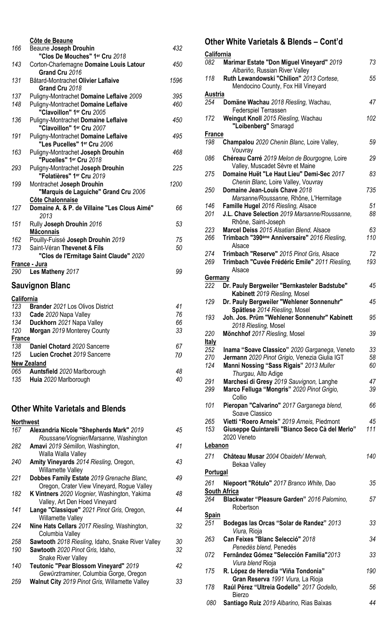|                   | Côte de Beaune                                                     |      |
|-------------------|--------------------------------------------------------------------|------|
| 166               | Beaune Joseph Drouhin                                              | 432  |
|                   | "Clos De Mouches" 1er Cru 2018                                     |      |
| 143               | Corton-Charlemagne Domaine Louis Latour<br>Grand Cru 2016          | 450  |
| 131               | Bâtard-Montrachet Olivier Laflaive                                 | 1596 |
|                   | Grand Cru 2018                                                     |      |
| 137               | Puligny-Montrachet Domaine Leflaive 2009                           | 395  |
| 148               | Puligny-Montrachet Domaine Leflaive<br>"Clavoillon" 1er Cru 2005   | 460  |
| 136               | Puligny-Montrachet Domaine Leflaive<br>"Clavoillon" 1er Cru 2007   | 450  |
| 191               | Puligny-Montrachet Domaine Leflaive<br>"Les Pucelles" 1er Cru 2006 | 495  |
| 163               | Puligny-Montrachet Joseph Drouhin<br>"Pucelles" 1er Cru 2018       | 468  |
| 293               | Puligny-Montrachet Joseph Drouhin<br>"Folatières" 1er Cru 2019     | 225  |
| 199               | Montrachet Joseph Drouhin                                          | 1200 |
|                   | "Marquis de Laguiche" Grand Cru 2006                               |      |
|                   | Côte Chalonnaise                                                   |      |
| 127               | Domaine A. & P. de Villaine "Les Clous Aimé"<br>2013               | 66   |
| 151               | Rully Joseph Drouhin 2016                                          | 53   |
|                   | <b>Mâconnais</b>                                                   |      |
| 162               | Pouilly-Fuissé Joseph Drouhin 2019                                 | 75   |
| 173               | Saint-Véran Thevenet & Fils                                        | 50   |
|                   | "Clos de l'Ermitage Saint Claude" 2020                             |      |
|                   | <u> France - Jura</u>                                              | 99   |
| 290               | Les Matheny 2017                                                   |      |
|                   | Sauvignon Blanc                                                    |      |
| <u>California</u> |                                                                    |      |
| 123               | <b>Brander 2021 Los Olivos District</b>                            | 41   |
| 133               | Cade 2020 Napa Valley                                              | 76   |
| 134               | Duckhorn 2021 Napa Valley                                          | 66   |
| 120               | Morgan 2019 Monterey County                                        | 33   |
| France            |                                                                    |      |
| 138               | Daniel Chotard 2020 Sancerre                                       | 67   |
| 125               | Lucien Crochet 2019 Sancerre                                       | 70   |
|                   | <b>New Zealand</b>                                                 |      |
| 065               | Auntsfield 2020 Marlborough                                        | 48   |

#### **Other White Varietals and Blends**

| <b>Northwest</b> |                                                       |    |
|------------------|-------------------------------------------------------|----|
| 167              | <b>Alexandria Nicole "Shepherds Mark" 2019</b>        | 45 |
|                  | Roussane/Viognier/Marsanne, Washington                |    |
| 282              | Amavi 2019 Sémillon, Washington,                      | 41 |
|                  | Walla Walla Valley                                    |    |
| 240              | Amity Vineyards 2014 Riesling, Oregon,                | 43 |
|                  | <b>Willamette Valley</b>                              |    |
| 221              | Dobbes Family Estate 2019 Grenache Blanc,             | 49 |
|                  | Oregon, Crater View Vineyard, Rogue Valley            |    |
| 182              | K Vintners 2020 Viognier, Washington, Yakima          | 48 |
|                  | Valley, Art Den Hoed Vineyard                         |    |
| 141              | Lange "Classique" 2021 Pinot Gris, Oregon,            | 44 |
|                  | Willamette Valley                                     |    |
| 224              | Nine Hats Cellars 2017 Riesling, Washington,          | 32 |
|                  | Columbia Valley                                       |    |
| 258              | Sawtooth 2018 Riesling, Idaho, Snake River Valley     | 30 |
| 190              | Sawtooth 2020 Pinot Gris, Idaho,                      | 32 |
|                  | Snake River Valley                                    |    |
| 140              | Teutonic "Pear Blossom Vineyard" 2019                 | 42 |
|                  | Gewürztraminer, Columbia Gorge, Oregon                |    |
| 259              | <b>Walnut City</b> 2019 Pinot Gris, Willamette Valley | 33 |

**Huia** *2020* Marlborough *40*

### **Other White Varietals & Blends – Cont'd**

| California      |                                                                                 |     |
|-----------------|---------------------------------------------------------------------------------|-----|
| 082             | Marimar Estate "Don Miguel Vineyard" 2019<br>Albariño, Russian River Valley     | 73  |
| 118             | Ruth Lewandowski "Chilion" 2013 Cortese,<br>Mendocino County, Fox Hill Vineyard | 55  |
| <b>Austria</b>  |                                                                                 |     |
| 254             | Domäne Wachau 2018 Riesling, Wachau,<br>Federspiel Terrassen                    | 47  |
| 172             | Weingut Knoll 2015 Riesling, Wachau<br>"Loibenberg" Smaragd                     | 102 |
| <b>France</b>   |                                                                                 |     |
| 198             | Champalou 2020 Chenin Blanc, Loire Valley,<br>Vouvray                           | 59  |
| 086             | Chéreau Carré 2019 Melon de Bourgogne, Loire<br>Valley, Muscadet Sèvre et Maine | 29  |
| 275             | Domaine Huët "Le Haut Lieu" Demi-Sec 2017                                       | 83  |
| 250             | Chenin Blanc, Loire Valley, Vouvray<br>Domaine Jean-Louis Chave 2018            | 735 |
|                 | Marsanne/Roussanne, Rhône, L'Hermitage                                          |     |
| 146             | Famille Hugel 2016 Riesling, Alsace                                             | 51  |
| 201             | J.L. Chave Selection 2019 Marsanne/Roussanne.<br>Rhône, Saint-Joseph            | 88  |
| 223             | Marcel Deiss 2015 Alsatian Blend, Alsace                                        | 63  |
| 266             | Trimbach "390 <sup>éme</sup> Anniversaire" 2016 Riesling,<br>Alsace             | 110 |
| 274             | Trimbach "Reserve" 2015 Pinot Gris, Alsace                                      | 72  |
| 269             | Trimbach "Cuvée Frédéric Emile" 2011 Riesling,                                  | 193 |
|                 | Alsace                                                                          |     |
| Germany         |                                                                                 |     |
| 222             | Dr. Pauly Bergweiler "Bernkasteler Badstube"                                    | 45  |
|                 |                                                                                 |     |
| 129             | Kabinett 2019 Riesling, Mosel<br>Dr. Pauly Bergweiler "Wehlener Sonnenuhr"      | 45  |
| 193             | Spätlese 2014 Riesling, Mosel<br>Joh. Jos. Prüm "Wehlener Sonnenuhr" Kabinett   | 95  |
|                 | 2018 Riesling, Mosel                                                            |     |
| 220             | Mönchhof 2017 Riesling, Mosel                                                   | 39  |
| <b>Italy</b>    |                                                                                 |     |
| 252             | Inama "Soave Classico" 2020 Garganega, Veneto                                   | 33  |
| 270             | Jermann 2020 Pinot Grigio, Venezia Giulia IGT                                   | 58  |
| 124             | Manni Nossing "Sass Rigais" 2013 Muller                                         | 60  |
|                 | Thurgau, Alto Adige                                                             |     |
| 291             | Marchesi di Gresy 2019 Sauvignon, Langhe                                        | 47  |
| 299             | Marco Felluga "Mongris" 2020 Pinot Grigio,                                      | 39  |
|                 | Collio                                                                          |     |
| 101             | Pieropan "Calvarino" 2017 Garganega blend,                                      | 66  |
|                 | Soave Classico                                                                  |     |
| 265             | Vietti "Roero Arneis" 2019 Arneis, Piedmont                                     | 45  |
| 153             | Giuseppe Quintarelli "Bianco Seco Cà del Merlo"                                 | 111 |
|                 | 2020 Veneto                                                                     |     |
| Lebanon         |                                                                                 |     |
| 271             | Château Musar 2004 Obaideh/ Merwah,                                             | 140 |
|                 | Bekaa Valley                                                                    |     |
| <b>Portugal</b> |                                                                                 |     |
| 261             | Niepoort "Rótulo" 2017 Branco White, Dao                                        | 35  |
|                 | <b>South Africa</b>                                                             |     |
| 264             | Blackwater "Pleasure Garden" 2016 Palomino,                                     | 57  |
|                 | Robertson                                                                       |     |
| <b>Spain</b>    |                                                                                 |     |
| 251             | Bodegas las Orcas "Solar de Randez" 2013                                        | 33  |
|                 | Viura, Rioja                                                                    |     |
| 263             | Can Feixes "Blanc Selecció" 2018                                                | 34  |
| 072             | Penedès blend, Penedés<br>Fernândez Gómez "Selección Familia"2013               | 33  |
|                 | Viura blend Rioja                                                               |     |
| 175             | R. López de Heredia "Viña Tondonia"                                             | 190 |
|                 | Gran Reserva 1991 Viura, La Rioja                                               |     |
| 178             | Raúl Pérez "Ultreia Godello" 2017 Godello,                                      | 56  |
|                 | <b>Bierzo</b>                                                                   |     |
| 080             | Santiago Ruiz 2019 Albarino, Rias Baixas                                        | 44  |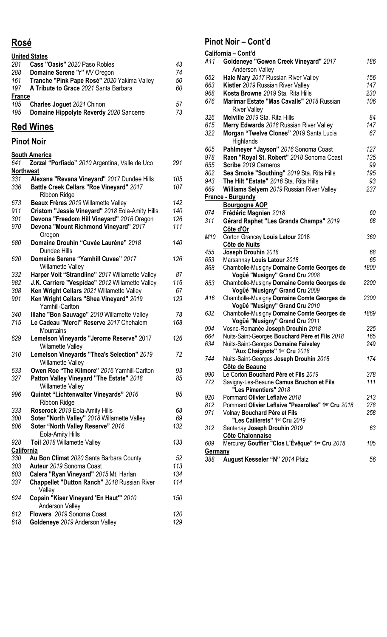### **Rosé**

|               | <b>United States</b>                        |    |
|---------------|---------------------------------------------|----|
| 281           | Cass "Oasis" 2020 Paso Robles               | 43 |
| 288           | Domaine Serene "r" NV Oregon                | 74 |
| 161           | Tranche "Pink Pape Rosé" 2020 Yakima Valley | 50 |
| 197           | A Tribute to Grace 2021 Santa Barbara       | 60 |
| <b>France</b> |                                             |    |
| 105           | <b>Charles Joguet 2021 Chinon</b>           | 57 |
| 195           | Domaine Hippolyte Reverdy 2020 Sancerre     | 73 |

### **Red Wines**

### **Pinot Noir**

|                  | <b>South America</b>                            |     |
|------------------|-------------------------------------------------|-----|
| 641              | Zorzal "Porfiado" 2010 Argentina, Valle de Uco  | 291 |
| <b>Northwest</b> |                                                 |     |
| 331              | Alexana "Revana Vineyard" 2017 Dundee Hills     | 105 |
| 336              | Battle Creek Cellars "Roe Vineyard" 2017        | 107 |
|                  | Ribbon Ridge                                    |     |
| 673              | Beaux Frères 2019 Willamette Valley             | 142 |
| 911              | Cristom "Jessie Vineyard" 2018 Eola-Amity Hills | 140 |
|                  |                                                 | 126 |
| 301              | Devona "Freedom Hill Vineyard" 2016 Oregon      | 111 |
| 970              | Devona "Mount Richmond Vineyard" 2017           |     |
|                  | Oregon                                          |     |
| 680              | Domaine Drouhin "Cuvée Lauréne" 2018            | 140 |
|                  | Dundee Hills                                    |     |
| 620              | Domaine Serene "Yamhill Cuvee" 2017             | 126 |
|                  | <b>Willamette Valley</b>                        |     |
| 332              | Harper Voit "Strandline" 2017 Willamette Valley | 87  |
| 982              | J.K. Carriere "Vespidae" 2012 Willamette Valley | 116 |
| 308              | Ken Wright Cellars 2021 Willamette Valley       | 67  |
| 901              | Ken Wright Cellars "Shea Vineyard" 2019         | 129 |
|                  | <b>Yamhill-Carlton</b>                          |     |
| 340              | Illahe "Bon Sauvage" 2019 Willamette Valley     | 78  |
| 715              | Le Cadeau "Merci" Reserve 2017 Chehalem         | 168 |
|                  | Mountains                                       |     |
| 629              | Lemelson Vineyards "Jerome Reserve" 2017        | 126 |
|                  | <b>Wilamette Valley</b>                         |     |
| 310              | Lemelson Vineyards "Thea's Selection" 2019      | 72  |
|                  | Willamette Valley                               |     |
| 633              | Owen Roe "The Kilmore" 2016 Yamhill-Carlton     | 93  |
| 327              | Patton Valley Vineyard "The Estate" 2018        | 85  |
|                  | <b>Willamette Valley</b>                        |     |
| 996              | Quintet "Lichtenwalter Vineyards" 2016          | 95  |
|                  | <b>Ribbon Ridge</b>                             |     |
| 333              | Roserock 2019 Eola-Amity Hills                  | 68  |
| 300              | Soter "North Valley" 2018 Willamette Valley     | 69  |
| 606              | Soter "North Valley Reserve" 2016               | 132 |
|                  | Eola-Amity Hills                                |     |
| 928              | Toil 2018 Willamette Valley                     | 133 |
| California       |                                                 |     |
| 330              | Au Bon Climat 2020 Santa Barbara County         | 52  |
| 303              | Auteur 2019 Sonoma Coast                        | 113 |
| 603              | Calera "Ryan Vineyard" 2015 Mt. Harlan          | 134 |
| 337              |                                                 | 114 |
|                  | Chappellet "Dutton Ranch" 2018 Russian River    |     |
|                  | Valley                                          |     |
| 624              | Copain "Kiser Vineyard 'En Haut"" 2010          | 150 |
|                  | <b>Anderson Valley</b>                          |     |
| 612              | Flowers 2019 Sonoma Coast                       | 120 |
| 618              | Goldeneye 2019 Anderson Valley                  | 129 |

### **Pinot Noir – Cont'd**

|                | California - Cont'd                                        |      |
|----------------|------------------------------------------------------------|------|
| A11            | Goldeneye "Gowen Creek Vineyard" 2017                      | 186  |
|                | <b>Anderson Valley</b>                                     |      |
| 652            | Hale Mary 2017 Russian River Valley                        | 156  |
| 663            | Kistler 2019 Russian River Valley                          | 147  |
| 968            | Kosta Browne 2019 Sta. Rita Hills                          | 230  |
| 676            | Marimar Estate "Mas Cavalls" 2018 Russian                  | 106  |
|                | <b>River Valley</b>                                        |      |
| 326            | Melville 2019 Sta. Rita Hills                              | 84   |
|                |                                                            | 147  |
| 615            | Merry Edwards 2018 Russian River Valley                    |      |
| 322            | Morgan "Twelve Clones" 2019 Santa Lucia                    | 67   |
|                | Highlands                                                  |      |
| 605            | Pahlmeyer "Jayson" 2016 Sonoma Coast                       | 127  |
| 978            | Raen "Royal St. Robert" 2018 Sonoma Coast                  | 135  |
| 655            | Scribe 2019 Carneros                                       | 99   |
| 802            | Sea Smoke "Southing" 2019 Sta. Rita Hills                  | 195  |
| 943            | The Hilt "Estate" 2016 Sta. Rita Hills                     | 93   |
| 669            | Williams Selyem 2019 Russian River Valley                  | 237  |
|                | <b>France - Burgundy</b>                                   |      |
|                | <b>Bourgogne AOP</b>                                       |      |
| 074            | Frédéric Magnien 2018                                      | 60   |
| 311            | Gérard Raphet "Les Grands Champs" 2019                     | 68   |
|                | Côte d'Or                                                  |      |
| M10            | Corton Grancey Louis Latour 2018                           | 360  |
|                | Côte de Nuits                                              |      |
| 455            | Joseph Drouhin 2018                                        | 68   |
| 653            | Marsannay Louis Latour 2018                                | 65   |
| 868            | Chambolle-Musigny Domaine Comte Georges de                 | 1800 |
|                | Vogüé "Musigny" Grand Cru 2008                             |      |
| 853            | Chambolle-Musigny Domaine Comte Georges de                 | 2200 |
|                | Vogüé "Musigny" Grand Cru 2009                             |      |
| A16            | Chambolle-Musigny Domaine Comte Georges de                 | 2300 |
|                | Vogüé "Musigny" Grand Cru 2010                             |      |
| 632            | Chambolle-Musigny Domaine Comte Georges de                 | 1869 |
|                | Vogüé "Musigny" Grand Cru 2011                             |      |
| 994            | Vosne-Romanée Joseph Drouhin 2018                          | 225  |
| 664            | Nuits-Saint-Georges Bouchard Père et Fils 2018             | 165  |
| 634            | Nuits-Saint-Georges Domaine Faiveley                       | 249  |
|                | "Aux Chaignots" 1er Cru 2018                               |      |
| 744            | Nuits-Saint-Georges Joseph Drouhin 2018                    | 174  |
|                | Côte de Beaune                                             |      |
| 990            | Le Corton Bouchard Père et Fils 2019                       | 378  |
| 772            | Savigny-Les-Beaune Camus Bruchon et Fils                   | 111  |
|                | "Les Pimentiers" 2018                                      |      |
| 920            | Pommard Olivier Leflaive 2018                              | 213  |
| 812            | Pommard Olivier Leflaive "Pezerolles" 1er Cru 2018         | 278  |
| 971            | Volnay Bouchard Père et Fils                               | 258  |
|                | "Les Caillerets" 1er Cru 2019                              |      |
| 312            | Santenay Joseph Drouhin 2019                               | 63   |
|                | <b>Côte Chalonnaise</b>                                    |      |
| 609            | Mercurey Gouffier "Clos L'Évêque" 1 <sup>er</sup> Cru 2018 | 105  |
| <b>Germany</b> |                                                            |      |
| 388            | August Kesseler "N" 2014 Pfalz                             | 56   |
|                |                                                            |      |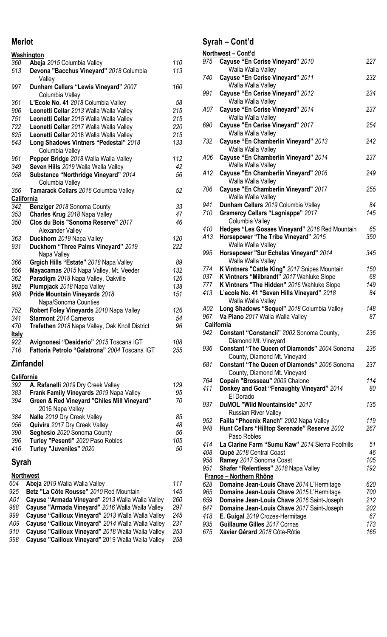### **Merlot**

|                   | <b>Washington</b>                                        |     |
|-------------------|----------------------------------------------------------|-----|
| 360               | Abeja 2015 Columbia Valley                               | 110 |
| 613               | Devona "Bacchus Vineyard" 2018 Columbia<br>Valley        | 113 |
| 997               | Dunham Cellars "Lewis Vineyard" 2007<br>Columbia Valley  | 160 |
| 361               | L'Ecole No. 41 2018 Columbia Valley                      | 58  |
| 906               | Leonetti Cellar 2013 Walla Walla Valley                  | 215 |
| 751               | Leonetti Cellar 2015 Walla Walla Valley                  | 215 |
| 722               | Leonetti Cellar 2017 Walla Walla Valley                  | 220 |
| 825               | Leonetti Cellar 2018 Walla Walla Valley                  | 215 |
| 643               | Long Shadows Vintners "Pedestal" 2018<br>Columbia Valley | 133 |
| 961               | Pepper Bridge 2018 Walla Walla Valley                    | 112 |
| 349               | Seven Hills 2019 Walla Walla Valley                      | 42  |
| 058               | Substance "Northridge Vineyard" 2014<br>Columbia Valley  | 56  |
| 356               | Tamarack Cellars 2016 Columbia Valley                    | 52  |
| <b>California</b> |                                                          |     |
| 342               | Benziger 2018 Sonoma County                              | 33  |
| 353               | Charles Krug 2018 Napa Valley                            | 47  |
| 350               | Clos du Bois "Sonoma Reserve" 2017<br>Alexander Valley   | 46  |
| 363               | Duckhorn 2019 Napa Valley                                | 120 |
| 931               | Duckhorn "Three Palms Vineyard" 2019<br>Napa Valley      | 222 |
| 366               | Grgich Hills "Estate" 2018 Napa Valley                   | 89  |
| 656               | Mayacamas 2015 Napa Valley, Mt. Veeder                   | 132 |
| 362               | Paradigm 2018 Napa Valley, Oakville                      | 126 |
| 992               | Plumpjack 2018 Napa Valley                               | 138 |
| 908               | Pride Mountain Vineyards 2018<br>Napa/Sonoma Counties    | 151 |
| 752               | Robert Foley Vineyards 2010 Napa Valley                  | 126 |
| 341               | <b>Starmont</b> 2014 Carneros                            | 54  |
| 470               | Trefethen 2018 Napa Valley, Oak Knoll District           | 96  |
| <u>Italy</u>      |                                                          |     |
| 922               | Avignonesi "Desiderio" 2015 Toscana IGT                  | 108 |
| 716               | Fattoria Petrolo "Galatrona" 2004 Toscana IGT            | 255 |
|                   | Zinfandel                                                |     |

#### **California**

| 392 | A. Rafanelli 2019 Dry Creek Valley          | 129 |
|-----|---------------------------------------------|-----|
| 383 | Frank Family Vineyards 2019 Napa Valley     | 95  |
| 394 | Green & Red Vineyard "Chiles Mill Vineyard" | 70  |
|     | 2016 Napa Valley                            |     |
| 384 | Nalle 2019 Dry Creek Valley                 | 85  |
| 056 | <b>Quivira</b> 2017 Dry Creek Valley        | 48  |
| 390 | Seghesio 2020 Sonoma County                 | 56  |
| 396 | Turley "Pesenti" 2020 Paso Robles           | 105 |
| 416 | Turley "Juveniles" 2020                     | 50  |
|     |                                             |     |

### **Syrah**

|     | <b>Northwest</b>                                   |     |
|-----|----------------------------------------------------|-----|
| 604 | Abeja 2019 Walla Walla Valley                      | 117 |
| 925 | Betz "La Côte Rousse" 2010 Red Mountain            | 145 |
| A01 | Cayuse "Armada Vineyard" 2013 Walla Walla Valley   | 260 |
| 988 | Cayuse "Armada Vineyard" 2016 Walla Walla Valley   | 297 |
| 999 | Cayuse "Cailloux Vineyard" 2013 Walla Walla Valley | 245 |
| A09 | Cayuse "Cailloux Vineyard" 2014 Walla Walla Valley | 237 |
| 910 | Cayuse "Cailloux Vineyard" 2018 Walla Walla Valley | 253 |
| 998 | Cayuse "Cailloux Vineyard" 2019 Walla Walla Valley | 258 |
|     |                                                    |     |

### **Syrah – Cont'd**

|     | Northwest - Cont'd                                                                  |     |
|-----|-------------------------------------------------------------------------------------|-----|
| 975 | Cayuse "En Cerise Vineyard" 2010<br>Walla Walla Valley                              | 227 |
| 740 | Cayuse "En Cerise Vineyard" 2011<br>Walla Walla Valley                              | 232 |
| 991 | Cayuse "En Cerise Vineyard" 2012<br>Walla Walla Valley                              | 234 |
| A07 | Cayuse "En Cerise Vineyard" 2014<br>Walla Walla Valley                              | 237 |
| 690 | Cayuse "En Cerise Vineyard" 2017<br>Walla Walla Valley                              | 254 |
| 732 | Cayuse "En Chamberlin Vineyard" 2013<br>Walla Walla Valley                          | 242 |
| A06 | Cayuse "En Chamberlin Vineyard" 2014<br>Walla Walla Valley                          | 237 |
| A12 | Cayuse "En Chamberlin Vineyard" 2016<br>Walla Walla Valley                          | 249 |
| 706 | Cayuse "En Chamberlin Vineyard" 2017<br>Walla Walla Valley                          | 255 |
| 941 | Dunham Cellars 2019 Columbia Valley                                                 | 84  |
| 710 | <b>Gramercy Cellars "Lagniappe" 2017</b><br>Columbia Valley                         | 145 |
| 410 | Hedges "Les Gosses Vineyard" 2016 Red Mountain                                      | 65  |
| A13 | Horsepower "The Tribe Vineyard" 2015<br>Walla Walla Valley                          | 350 |
| 995 | Horsepower "Sur Echalas Vineyard" 2014<br>Walla Walla Valley                        | 345 |
| 774 | K Vintners "Cattle King" 2017 Snipes Mountain                                       | 150 |
| 037 | K Vintners "Milbrandt" 2017 Wahluke Slope                                           | 68  |
| 777 | K Vintners "The Hidden" 2016 Wahluke Slope                                          | 149 |
| 413 | L'ecole No. 41 "Seven Hills Vineyard" 2018<br>Walla Walla Valley                    | 84  |
| A02 | Long Shadows "Sequel" 2018 Columbia Valley                                          | 148 |
| 967 | Va Piano 2017 Walla Walla Valley                                                    | 87  |
|     | California                                                                          |     |
| 942 | Constant "Constancii" 2002 Sonoma County,<br>Diamond Mt. Vineyard                   | 236 |
| 936 | <b>Constant "The Queen of Diamonds" 2004 Sonoma</b><br>County, Diamond Mt. Vineyard | 236 |
| 681 | Constant "The Queen of Diamonds" 2006 Sonoma<br>County, Diamond Mt. Vineyard        | 237 |
| 764 | Copain "Brosseau" 2009 Chalone                                                      | 114 |
| 411 | Donkey and Goat "Fenaughty Vineyard" 2014<br>El Dorado                              | 80  |
| 937 | DuMOL "Wild Mountainside" 2017<br><b>Russian River Valley</b>                       | 135 |
| 952 | Failla "Phoenix Ranch" 2002 Napa Valley                                             | 119 |
| 948 | Hunt Cellars "Hilltop Serenade" Reserve 2002<br>Paso Robles                         | 267 |
| 414 | La Clarine Farm "Sumu Kaw" 2014 Sierra Foothills                                    | 51  |
| 408 | Qupé 2018 Central Coast                                                             | 46  |
| 958 | Ramey 2017 Sonoma Coast                                                             | 105 |
| 951 | Shafer "Relentless" 2018 Napa Valley                                                | 192 |
|     | France - Northern Rhône                                                             |     |
| 628 | Domaine Jean-Louis Chave 2014 L'Hermitage                                           | 620 |
| 965 | Domaine Jean-Louis Chave 2015 L'Hermitage                                           | 700 |
| 659 | Domaine Jean-Louis Chave 2016 Saint-Joseph                                          | 212 |
| 647 | Domaine Jean-Louis Chave 2017 Saint-Joseph                                          | 202 |
| 418 | E. Guigal 2019 Crozes-Hermitage                                                     | 67  |
| 935 | Guillaume Gilles 2017 Cornas                                                        | 173 |
| 675 | Xavier Gérard 2018 Côte-Rôtie                                                       | 165 |
|     |                                                                                     |     |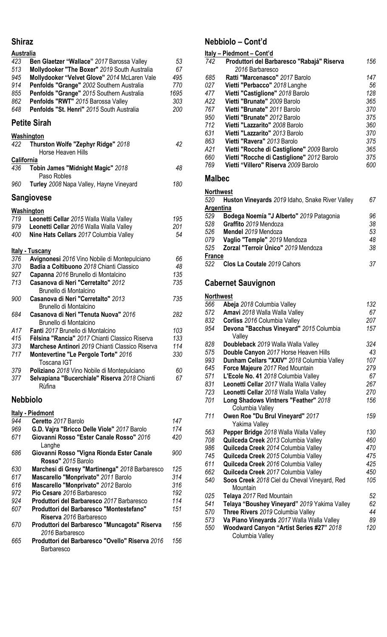#### **Shiraz**

| <b>Australia</b> |                                                                 |      |
|------------------|-----------------------------------------------------------------|------|
| 423              | Ben Glaetzer "Wallace" 2017 Barossa Valley                      | 53   |
| 513              | Mollydooker "The Boxer" 2019 South Australia                    | 67   |
| 945              | Mollydooker "Velvet Glove" 2014 McLaren Vale                    | 495  |
| 914              | Penfolds "Grange" 2002 Southern Australia                       | 770  |
| 855              | Penfolds "Grange" 2015 Southern Australia                       | 1695 |
| 862              | Penfolds "RWT" 2015 Barossa Valley                              | 303  |
| 648              | Penfolds "St. Henri" 2015 South Australia                       | 200  |
|                  | <b>Petite Sirah</b>                                             |      |
|                  |                                                                 |      |
|                  | <b>Washington</b>                                               |      |
| 422              | Thurston Wolfe "Zephyr Ridge" 2018<br>Horse Heaven Hills        | 42   |
| California       |                                                                 |      |
| 436              | Tobin James "Midnight Magic" 2018<br>Paso Robles                | 48   |
| 960              | Turley 2008 Napa Valley, Hayne Vineyard                         | 180  |
|                  | Sangiovese                                                      |      |
|                  | <b>Washington</b>                                               |      |
| 719              | Leonetti Cellar 2015 Walla Walla Valley                         | 195  |
| 979              | Leonetti Cellar 2016 Walla Walla Valley                         | 201  |
| 400              | Nine Hats Cellars 2017 Columbia Valley                          | 54   |
|                  | <u> Italy - Tuscany</u>                                         |      |
| 376              | Avignonesi 2016 Vino Nobile di Montepulciano                    | 66   |
| 370              | Badia a Coltibuono 2018 Chianti Classico                        | 48   |
|                  |                                                                 | 135  |
| 927<br>713       | Capanna 2016 Brunello di Montalcino                             | 735  |
|                  | Casanova di Neri "Cerretalto" 2012                              |      |
|                  | Brunello di Montalcino                                          |      |
| 900              | Casanova di Neri "Cerretalto" 2013                              | 735  |
|                  | Brunello di Montalcino                                          |      |
| 684              | Casanova di Neri "Tenuta Nuova" 2016                            | 282  |
|                  | Brunello di Montalcino                                          |      |
| A17              | Fanti 2017 Brunello di Montalcino                               | 103  |
| 415              | Fèlsina "Rancia" 2017 Chianti Classico Riserva                  | 133  |
| 373              | Marchese Antinori 2019 Chianti Classico Riserva                 | 114  |
| 717              | Montevertine "Le Pergole Torte" 2016<br>Toscana IGT             | 330  |
| 379              | Poliziano 2018 Vino Nobile di Montepulciano                     | 60   |
| 377              | Selvapiana "Bucerchiale" Riserva 2018 Chianti<br>Rùfina         | 67   |
|                  | <b>Nebbiolo</b>                                                 |      |
|                  |                                                                 |      |
|                  | <b>Italy - Piedmont</b>                                         |      |
| 944              | Ceretto 2017 Barolo                                             | 147  |
| 969              | G.D. Vajra "Bricco Delle Viole" 2017 Barolo                     | 174  |
| 671              | Giovanni Rosso "Ester Canale Rosso" 2016                        | 420  |
|                  | Langhe                                                          |      |
| 686              | Giovanni Rosso "Vigna Rionda Ester Canale<br>Rosso" 2015 Barolo | 900  |
| 630              | Marchesi di Gresy "Martinenga" 2018 Barbaresco                  | 125  |
|                  |                                                                 |      |

 **Mascarello "Monprivato"** *2011* Barolo *314* **Mascarello "Monprivato"** *2012* Barolo *316* **Pio Cesare** *2016* Barbaresco *192* **Produttori del Barbaresco** *2017* Barbaresco *114* **Produttori del Barbaresco "Montestefano" Riserva** *2016* Barbaresco **Produttori del Barbaresco "Muncagota" Riserva**  Barbaresco **Produttori del Barbaresco "Ovello" Riserva** *2016* Barbaresco 

## **Nebbiolo – Cont'd**

|                           | <u>Italy – Piedmont – Cont'd</u>                |        |
|---------------------------|-------------------------------------------------|--------|
| 742                       | Produttori del Barbaresco "Rabajá" Riserva      | 156    |
|                           | 2016 Barbaresco                                 |        |
| 685                       | Ratti "Marcenasco" 2017 Barolo                  | 147    |
| 027                       | Vietti "Perbacco" 2018 Langhe                   | 56     |
| 477                       | Vietti "Castiglione" 2018 Barolo                | 128    |
| A22                       | Vietti "Brunate" 2009 Barolo                    | 365    |
| 767                       | Vietti "Brunate" 2011 Barolo                    | 370    |
| 950                       | Vietti "Brunate" 2012 Barolo                    | 375    |
| 712                       | Vietti "Lazzarito" 2008 Barolo                  | 360    |
| 631                       | Vietti "Lazzarito" 2013 Barolo                  | 370    |
| 863                       | Vietti "Ravera" 2013 Barolo                     | 375    |
| A21                       | Vietti "Rocche di Castiglione" 2009 Barolo      | 365    |
| 660                       | Vietti "Rocche di Castiglione" 2012 Barolo      | 375    |
| 769                       | Vietti "Villero" Riserva 2009 Barolo            | 600    |
| <b>Malbec</b>             |                                                 |        |
| <b>Northwest</b>          |                                                 |        |
| 520                       | Huston Vineyards 2019 Idaho, Snake River Valley | 67     |
| Argentina                 |                                                 |        |
| 529                       | Bodega Noemía "J Alberto" 2019 Patagonia        | 96     |
| 528                       | Graffito 2019 Mendoza                           | 38     |
| 526                       | Mendel 2019 Mendoza                             | 53     |
| 079                       | Vaglio "Temple" 2019 Mendoza                    | 48     |
| 525                       | Zorzal "Terroir Único" 2019 Mendoza             | 38     |
| <b>France</b>             |                                                 |        |
| 522                       | Clos La Coutale 2019 Cahors                     | 37     |
|                           |                                                 |        |
| <b>Cabernet Sauvignon</b> |                                                 |        |
| <b>Northwest</b>          |                                                 |        |
| 566                       | Abeja 2018 Columbia Valley                      | 132    |
|                           |                                                 | $\sim$ |

| uuu | <b>ANGIA</b> ZUTO CORTINIA VAIIEV            | 1 J L |
|-----|----------------------------------------------|-------|
| 572 | Amavi 2018 Walla Walla Valley                | 67    |
| 832 | Corliss 2016 Columbia Valley                 | 207   |
| 954 | Devona "Bacchus Vineyard" 2015 Columbia      | 157   |
|     | Valley                                       |       |
| 828 | Doubleback 2019 Walla Walla Valley           | 324   |
| 575 | Double Canyon 2017 Horse Heaven Hills        | 43    |
| 993 | Dunham Cellars "XXIV" 2018 Columbia Valley   | 107   |
| 645 | Force Majeure 2017 Red Mountain              | 279   |
| 571 | L'Ecole No. 41 2018 Columbia Valley          | 67    |
| 831 | Leonetti Cellar 2017 Walla Walla Valley      | 267   |
| 723 | Leonetti Cellar 2018 Walla Walla Valley      | 270   |
| 701 | Long Shadows Vintners "Feather" 2018         | 156   |
|     | Columbia Valley                              |       |
| 711 | Owen Roe "Du Brul Vineyard" 2017             | 159   |
|     | Yakima Valley                                |       |
| 563 | Pepper Bridge 2018 Walla Walla Valley        | 130   |
| 708 | Quilceda Creek 2013 Columbia Valley          | 460   |
| 986 | Quilceda Creek 2014 Columbia Valley          | 470   |
| 745 | Quilceda Creek 2015 Columbia Valley          | 475   |
| 611 | Quilceda Creek 2016 Columbia Valley          | 425   |
| 662 | Quilceda Creek 2017 Columbia Valley          | 450   |
| 540 | Soos Creek 2018 Ciel du Cheval Vineyard, Red | 105   |
|     | Mountain                                     |       |
| 025 | Telaya 2017 Red Mountain                     | 52    |
| 541 | Telaya "Boushey Vineyard" 2019 Yakima Valley | 62    |
| 570 | Three Rivers 2019 Columbia Valley            | 44    |
| 573 | Va Piano Vineyards 2017 Walla Walla Valley   | 89    |
| 550 | Woodward Canyon "Artist Series #27" 2018     | 120   |
|     | Columbia Valley                              |       |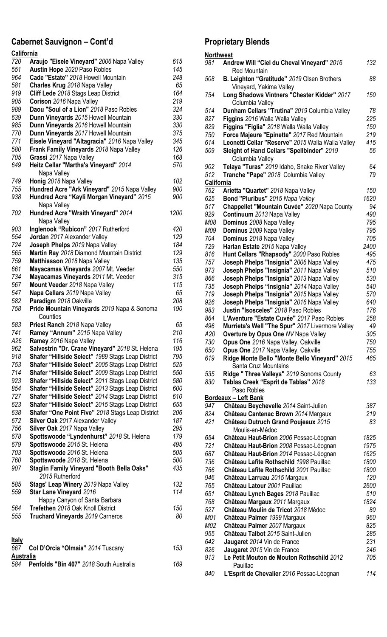#### **Cabernet Sauvignon – Cont'd**

| California       |                                                   |      |
|------------------|---------------------------------------------------|------|
| 720              | Araujo "Eisele Vineyard" 2006 Napa Valley         | 615  |
| 551              | Austin Hope 2020 Paso Robles                      | 145  |
| 964              | Cade "Estate" 2018 Howell Mountain                | 248  |
| 581              | Charles Krug 2018 Napa Valley                     | 65   |
| 919              | Cliff Lede 2018 Stags Leap District               | 164  |
| 905              | Corison 2016 Napa Valley                          | 219  |
| 989              | Daou "Soul of a Lion" 2018 Paso Robles            | 324  |
| 639              | Dunn Vineyards 2015 Howell Mountain               | 330  |
| 985              | Dunn Vineyards 2016 Howell Mountain               | 330  |
| 770              | Dunn Vineyards 2017 Howell Mountain               | 375  |
| 771              | Eisele Vineyard "Altagracia" 2016 Napa Valley     | 345  |
| 580              | Frank Family Vineyards 2018 Napa Valley           | 126  |
| 705              | Grassi 2017 Napa Valley                           | 168  |
| 649              | Heitz Cellar "Martha's Vineyard" 2014             | 570  |
|                  | Napa Valley                                       |      |
| 749              | Honig 2018 Napa Valley                            | 102  |
| 755              | Hundred Acre "Ark Vineyard" 2015 Napa Valley      | 900  |
| 938              | Hundred Acre "Kayli Morgan Vineyard" 2015         | 900  |
|                  | Napa Valley                                       |      |
| 702              | Hundred Acre "Wraith Vineyard" 2014               | 1200 |
|                  | Napa Valley                                       |      |
| 903              | Inglenook "Rubicon" 2017 Rutherford               | 420  |
| 554              | Jordan 2017 Alexander Valley                      | 129  |
| 724              | Joseph Phelps 2019 Napa Valley                    | 184  |
| 565              | Martin Ray 2018 Diamond Mountain District         | 129  |
| 759              | Matthiasson 2018 Napa Valley                      | 135  |
| 661              | Mayacamas Vineyards 2007 Mt. Veeder               | 550  |
| 734              | Mayacamas Vineyards 2011 Mt. Veeder               | 315  |
| 567              | Mount Veeder 2018 Napa Valley                     | 115  |
| 547              | Napa Cellars 2019 Napa Valley                     | 65   |
| 582              | Paradigm 2018 Oakville                            | 208  |
| 758              | Pride Mountain Vineyards 2019 Napa & Sonoma       | 190  |
|                  | Counties                                          |      |
| 583              | Priest Ranch 2018 Napa Valley                     | 65   |
| 741              | Ramey "Annum" 2015 Napa Valley                    | 210  |
| A26              | Ramey 2016 Napa Valley                            | 116  |
| 962              | Salvestrin "Dr. Crane Vineyard" 2018 St. Helena   | 195  |
| 918              | Shafer "Hillside Select" 1989 Stags Leap District | 795  |
| 753              | Shafer "Hillside Select" 2005 Stags Leap District | 525  |
| 714              | Shafer "Hillside Select" 2009 Stags Leap District | 550  |
| 923              | Shafer "Hillside Select" 2011 Stags Leap District | 580  |
| 854              | Shafer "Hillside Select" 2013 Stags Leap District | 600  |
| 727              | Shafer "Hillside Select" 2014 Stags Leap District | 610  |
| 623              | Shafer "Hillside Select" 2015 Stags Leap District | 655  |
| 638              | Shafer "One Point Five" 2018 Stags Leap District  | 206  |
| 672              | Silver Oak 2017 Alexander Valley                  | 187  |
| 756              | Silver Oak 2017 Napa Valley                       | 295  |
| 678              | Spottswoode "Lyndenhurst" 2018 St. Helena         | 179  |
| 679              | Spottswoode 2015 St. Helena                       | 495  |
| 703              | Spottswoode 2016 St. Helena                       | 505  |
| 760              | Spottswoode 2018 St. Helena                       | 500  |
| 907              | <b>Staglin Family Vineyard "Booth Bella Oaks"</b> | 435  |
|                  | 2015 Rutherford                                   |      |
| 585              | Stags' Leap Winery 2019 Napa Valley               | 132  |
| 559              | <b>Star Lane Vineyard 2016</b>                    | 114  |
|                  | Happy Canyon of Santa Barbara                     |      |
| 564              | Trefethen 2018 Oak Knoll District                 | 150  |
| 555              | Truchard Vineyards 2019 Carneros                  | 80   |
|                  |                                                   |      |
|                  |                                                   |      |
| <u>Italy</u>     |                                                   |      |
| 667              | Col D'Orcia "Olmaia" 2014 Tuscany                 | 153  |
| <b>Australia</b> |                                                   |      |
| 584              | Penfolds "Bin 407" 2018 South Australia           | 169  |

#### **Proprietary Blends Northwest Andrew Will "Ciel du Cheval Vineyard"** *2016* Red Mountain **B. Leighton "Gratitude"** *2019* Olsen Brothers Vineyard, Yakima Valley **Long Shadows Vintners "Chester Kidder"** *2017* Columbia Valley **Dunham Cellars "Trutina"** *2019* Columbia Valley *78*  **Figgins** *2016* Walla Walla Valley *225* **Figgins "Figlia"** *2018* Walla Walla Valley *150* **Force Majeure "Epinette"** *2017* Red Mountain *219* **Leonetti Cellar "Reserve"** *2015* Walla Walla Valley *415* **Sleight of Hand Cellars "Spellbinder"** *2019* Columbia Valley **Telaya "Turas"** *2019* Idaho, Snake River Valley *64* **Tranche "Pape"** *2018* Columbia Valley *79* **California Arietta "Quartet"** *2018* Napa Valley *150* **Bond "Pluribus"** *2015 Napa Valley 1620* **Chappellet "Mountain Cuvée"** *2020* Napa County *94* **Continuum** *2013* Napa Valley *490 M08* **Dominus** *2008* Napa Valley *795 M09* **Dominus** 2*009* Napa Valley *795* **Dominus** *2018* Napa Valley *705* **Harlan Estate** *2015* Napa Valley *2400* **Hunt Cellars "Rhapsody"** *2000* Paso Robles *495*  **Joseph Phelps "Insignia"** *2006* Napa Valley *475*  **Joseph Phelps "Insignia"** *2011* Napa Valley *510*  **Joseph Phelps "Insignia"** *2013* Napa Valley *530*  **Joseph Phelps "Insignia"** *2014* Napa Valley *540* **Joseph Phelps "Insignia"** *2015* Napa Valley *570* **Joseph Phelps "Insignia"** *2016* Napa Valley *640* **Justin "Isosceles"** *2018* Paso Robles *176* **L'Aventure "Estate Cuvée"** *2017* Paso Robles *258* **Murrieta's Well "The Spur"** *2017* Livermore Valley *49 A20* **Overture by Opus One** *NV* Napa Valley *305* **Opus One** *2016* Napa Valley, Oakville *750* **Opus One** *2017* Napa Valley, Oakville *755* **Ridge Monte Bello "Monte Bello Vineyard"** *2015*  Santa Cruz Mountains **Ridge " Three Valleys"** *2019* Sonoma County *63* **Tablas Creek "Esprit de Tablas"** *2018*  Paso Robles **Bordeaux – Left Bank Château Beychevelle** *2014* Saint-Julien *387* **Château Cantenac Brown** *2014* Margaux *219* **Château Dutruch Grand Poujeaux** *2015*  Moulis-en-Médoc **Château Haut-Brion** *2006* Pessac-Léognan *1825* **Château Haut-Brion** *2008* Pessac-Léognan *1975* **Château Haut-Brion** *2014* Pessac-Léognan *1625* **Château Lafite Rothschild** *1998* Pauillac *1800* **Château Lafite Rothschild** *2001* Pauillac *1800* **Château Larruau** *2015* Margaux *120* **Château Latour** *2001* Pauillac *2600* **Château Lynch Bages** *2018* Pauillac *510* **Château Margaux** *2011* Margaux *1824* **Château Moulin de Tricot** *2018* Médoc *80 M01* **Château Palmer** *1999* Margaux *960 M02* **Château Palmer** *2007* Margaux *825*  **Château Talbot** *2015* Saint-Julien *285* **Jaugaret** *2014* Vin de France *231* **Jaugaret** *2015* Vin de France *246* **Le Petit Mouton de Mouton Rothschild** *2012*  **Pauillac**

**L'Esprit de Chevalier** *2016* Pessac-Léognan *114*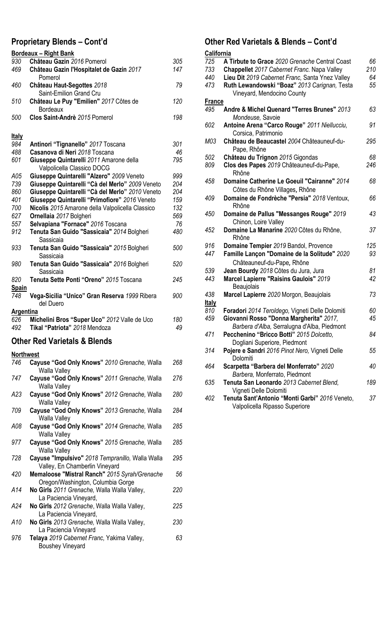### **Proprietary Blends – Cont'd**

|                  | <b>Bordeaux - Right Bank</b><br>Château Gazin 2016 Pomerol |     |
|------------------|------------------------------------------------------------|-----|
| 930              |                                                            | 305 |
| 469              | Château Gazin l'Hospitalet de Gazin 2017<br>Pomerol        | 147 |
| 460              | Château Haut-Segottes 2018                                 | 79  |
|                  | Saint-Emilion Grand Cru                                    |     |
| 510              | Château Le Puy "Emilien" 2017 Côtes de<br><b>Bordeaux</b>  | 120 |
| 500              | Clos Saint-Andrè 2015 Pomerol                              | 198 |
| <b>Italy</b>     |                                                            |     |
| 984              | Antinori "Tignanello" 2017 Toscana                         | 301 |
| 488              | Casanova di Neri 2018 Toscana                              | 46  |
| 601              | Giuseppe Quintarelli 2011 Amarone della                    | 795 |
|                  | Valpolicella Classico DOCG                                 |     |
| A05              | Giuseppe Quintarelli "Alzero" 2009 Veneto                  | 999 |
| 739              | Giuseppe Quintarelli "Cà del Merlo" 2009 Veneto            | 204 |
| 860              | Giuseppe Quintarelli "Cà del Merlo" 2010 Veneto            | 204 |
| 401              | Giuseppe Quintarelli "Primofiore" 2016 Veneto              | 159 |
| 700              | Nicolis 2015 Amarone della Valpolicella Classico           | 132 |
| 627              | Ornellaia 2017 Bolgheri                                    | 569 |
| 557              | Selvapiana "Fornace" 2016 Toscana                          | 76  |
| 912              | Tenuta San Guido "Sassicaia" 2014 Bolgheri<br>Sassicaia    | 480 |
| 933              | Tenuta San Guido "Sassicaia" 2015 Bolgheri<br>Sassicaia    | 500 |
| 980              | Tenuta San Guido "Sassicaia" 2016 Bolgheri<br>Sassicaia    | 520 |
| 820              | Tenuta Sette Ponti "Oreno" 2015 Toscana                    | 245 |
| <u>Spain</u>     |                                                            |     |
| 748              | Vega-Sicilia "Unico" Gran Reserva 1999 Ribera<br>del Duero | 900 |
| <b>Argentina</b> |                                                            |     |
| 626              | Michelini Bros "Super Uco" 2012 Valle de Uco               | 180 |
| 492              | Tikal "Patriota" 2018 Mendoza                              | 49  |

#### **Other Red Varietals & Blends**

#### **Northwest**

| 746 | Cayuse "God Only Knows" 2010 Grenache, Walla<br><b>Walla Valley</b>                | 268 |
|-----|------------------------------------------------------------------------------------|-----|
| 747 | Cayuse "God Only Knows" 2011 Grenache, Walla<br><b>Walla Valley</b>                | 276 |
| A23 | Cayuse "God Only Knows" 2012 Grenache, Walla<br>Walla Valley                       | 280 |
| 709 | Cayuse "God Only Knows" 2013 Grenache, Walla<br><b>Walla Valley</b>                | 284 |
| A08 | Cayuse "God Only Knows" 2014 Grenache, Walla<br><b>Walla Valley</b>                | 285 |
| 977 | Cayuse "God Only Knows" 2015 Grenache, Walla<br><b>Walla Valley</b>                | 285 |
| 728 | Cayuse "Impulsivo" 2018 Tempranillo, Walla Walla<br>Valley, En Chamberlin Vineyard | 295 |
| 420 | Memaloose "Mistral Ranch" 2015 Syrah/Grenache<br>Oregon/Washington, Columbia Gorge | 56  |
| A14 | No Girls 2011 Grenache, Walla Walla Valley,<br>La Paciencia Vineyard,              | 220 |
| A24 | No Girls 2012 Grenache, Walla Walla Valley,<br>La Paciencia Vineyard,              | 225 |
| A10 | No Girls 2013 Grenache, Walla Walla Valley,<br>La Paciencia Vineyard               | 230 |
| 976 | Telaya 2019 Cabernet Franc, Yakima Valley,<br><b>Boushey Vineyard</b>              | 63  |

#### **Other Red Varietals & Blends – Cont'd**

| California    |                                                 |     |
|---------------|-------------------------------------------------|-----|
| 725           | A Tirbute to Grace 2020 Grenache Central Coast  | 66  |
| 733           | Chappellet 2017 Cabernet Franc. Napa Valley     | 210 |
| 440           | Lieu Dit 2019 Cabernet Franc, Santa Ynez Valley | 64  |
| 473           | Ruth Lewandowski "Boaz" 2013 Carignan, Testa    | 55  |
|               | Vineyard, Mendocino County                      |     |
| <b>France</b> |                                                 |     |
| 495           | Andre & Michel Quenard "Terres Brunes" 2013     | 63  |
|               | Mondeuse, Savoie                                |     |
| 602           | Antoine Arena "Carco Rouge" 2011 Niellucciu,    | 91  |
|               | Corsica, Patrimonio                             |     |
| M03           | Château de Beaucastel 2004 Châteauneuf-du-      | 295 |
|               | Pape, Rhône                                     |     |
| 502           | Château du Trignon 2015 Gigondas                | 68  |
| 809           | Clos des Papes 2019 Châteauneuf-du-Pape,        | 246 |
|               | Rhône                                           |     |
| 458           | Domaine Catherine Le Goeuil "Cairanne" 2014     | 68  |
|               | Côtes du Rhône Villages, Rhône                  |     |
| 409           | Domaine de Fondrèche "Persia" 2018 Ventoux,     | 66  |
|               | Rhône                                           |     |
| 450           | Domaine de Pallus "Messanges Rouge" 2019        | 43  |
|               | Chinon, Loire Valley                            |     |
| 452           | Domaine La Manarine 2020 Côtes du Rhône,        | 37  |
|               | Rhône                                           |     |
| 916           | Domaine Tempier 2019 Bandol, Provence           | 125 |
| 447           | Famille Lançon "Domaine de la Solitude" 2020    | 93  |
|               | Châteauneuf-du-Pape, Rhône                      |     |
| 539           | Jean Bourdy 2018 Côtes du Jura, Jura            | 81  |
| 443           | Marcel Lapierre "Raisins Gaulois" 2019          | 42  |
|               | Beaujolais                                      |     |
| 438           | Marcel Lapierre 2020 Morgon, Beaujolais         | 73  |
| <b>Italy</b>  |                                                 |     |
| 810           | Foradori 2014 Teroldego, Vigneti Delle Dolomiti | 60  |
| 459           | Giovanni Rosso "Donna Margherita" 2017,         | 45  |
|               | Barbera d'Alba, Serralugna d'Alba, Piedmont     |     |
| 471           | Pecchenino "Bricco Botti" 2015 Dolcetto,        | 84  |
|               | Dogliani Superiore, Piedmont                    |     |
| 314           | Pojere e Sandri 2016 Pinot Nero, Vigneti Delle  | 55  |
|               | Dolomiti                                        |     |
| 464           | Scarpetta "Barbera del Monferrato" 2020         | 40  |
|               | Barbera, Monferrato, Piedmont                   |     |
| 635           | Tenuta San Leonardo 2013 Cabernet Blend,        | 189 |
|               | Vigneti Delle Dolomiti                          |     |
| 402           | Tenuta Sant'Antonio "Monti Garbi" 2016 Veneto,  | 37  |
|               | Valpolicella Ripasso Superiore                  |     |